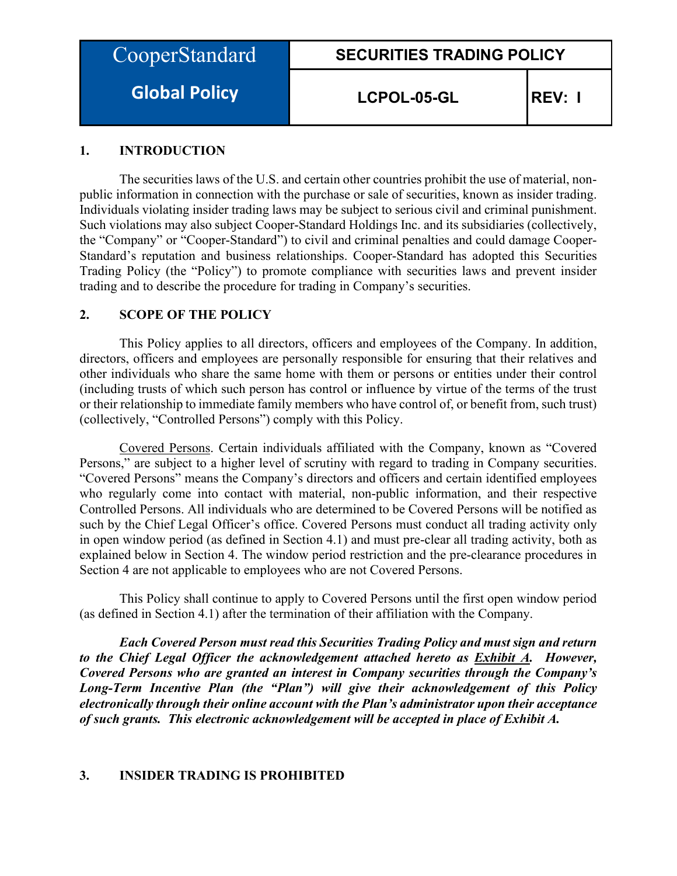| CooperStandard |  |
|----------------|--|
|                |  |

**Global Policy**

**LCPOL-05-GL REV: I**

## **1. INTRODUCTION**

The securities laws of the U.S. and certain other countries prohibit the use of material, nonpublic information in connection with the purchase or sale of securities, known as insider trading. Individuals violating insider trading laws may be subject to serious civil and criminal punishment. Such violations may also subject Cooper-Standard Holdings Inc. and its subsidiaries (collectively, the "Company" or "Cooper-Standard") to civil and criminal penalties and could damage Cooper-Standard's reputation and business relationships. Cooper-Standard has adopted this Securities Trading Policy (the "Policy") to promote compliance with securities laws and prevent insider trading and to describe the procedure for trading in Company's securities.

## **2. SCOPE OF THE POLICY**

This Policy applies to all directors, officers and employees of the Company. In addition, directors, officers and employees are personally responsible for ensuring that their relatives and other individuals who share the same home with them or persons or entities under their control (including trusts of which such person has control or influence by virtue of the terms of the trust or their relationship to immediate family members who have control of, or benefit from, such trust) (collectively, "Controlled Persons") comply with this Policy.

Covered Persons. Certain individuals affiliated with the Company, known as "Covered Persons," are subject to a higher level of scrutiny with regard to trading in Company securities. "Covered Persons" means the Company's directors and officers and certain identified employees who regularly come into contact with material, non-public information, and their respective Controlled Persons. All individuals who are determined to be Covered Persons will be notified as such by the Chief Legal Officer's office. Covered Persons must conduct all trading activity only in open window period (as defined in Section 4.1) and must pre-clear all trading activity, both as explained below in Section 4. The window period restriction and the pre-clearance procedures in Section 4 are not applicable to employees who are not Covered Persons.

This Policy shall continue to apply to Covered Persons until the first open window period (as defined in Section 4.1) after the termination of their affiliation with the Company.

*Each Covered Person must read this Securities Trading Policy and must sign and return to the Chief Legal Officer the acknowledgement attached hereto as Exhibit A. However, Covered Persons who are granted an interest in Company securities through the Company's Long-Term Incentive Plan (the "Plan") will give their acknowledgement of this Policy electronically through their online account with the Plan's administrator upon their acceptance of such grants. This electronic acknowledgement will be accepted in place of Exhibit A.*

## **3. INSIDER TRADING IS PROHIBITED**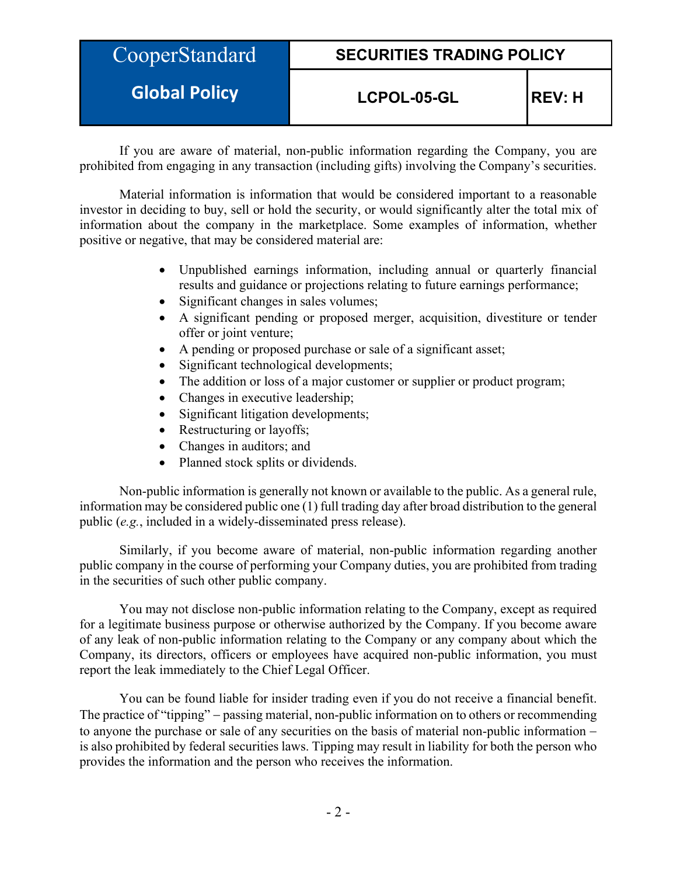| CooperStandard       | <b>SECURITIES TRADING POLICY</b> |                |
|----------------------|----------------------------------|----------------|
| <b>Global Policy</b> | LCPOL-05-GL                      | <b>IREV: H</b> |

If you are aware of material, non-public information regarding the Company, you are prohibited from engaging in any transaction (including gifts) involving the Company's securities.

Material information is information that would be considered important to a reasonable investor in deciding to buy, sell or hold the security, or would significantly alter the total mix of information about the company in the marketplace. Some examples of information, whether positive or negative, that may be considered material are:

- Unpublished earnings information, including annual or quarterly financial results and guidance or projections relating to future earnings performance;
- Significant changes in sales volumes;
- A significant pending or proposed merger, acquisition, divestiture or tender offer or joint venture;
- A pending or proposed purchase or sale of a significant asset;
- Significant technological developments;
- The addition or loss of a major customer or supplier or product program;
- Changes in executive leadership;
- Significant litigation developments;
- Restructuring or layoffs;
- Changes in auditors; and
- Planned stock splits or dividends.

Non-public information is generally not known or available to the public. As a general rule, information may be considered public one (1) full trading day after broad distribution to the general public (*e.g.*, included in a widely-disseminated press release).

Similarly, if you become aware of material, non-public information regarding another public company in the course of performing your Company duties, you are prohibited from trading in the securities of such other public company.

You may not disclose non-public information relating to the Company, except as required for a legitimate business purpose or otherwise authorized by the Company. If you become aware of any leak of non-public information relating to the Company or any company about which the Company, its directors, officers or employees have acquired non-public information, you must report the leak immediately to the Chief Legal Officer.

You can be found liable for insider trading even if you do not receive a financial benefit. The practice of "tipping" – passing material, non-public information on to others or recommending to anyone the purchase or sale of any securities on the basis of material non-public information − is also prohibited by federal securities laws. Tipping may result in liability for both the person who provides the information and the person who receives the information.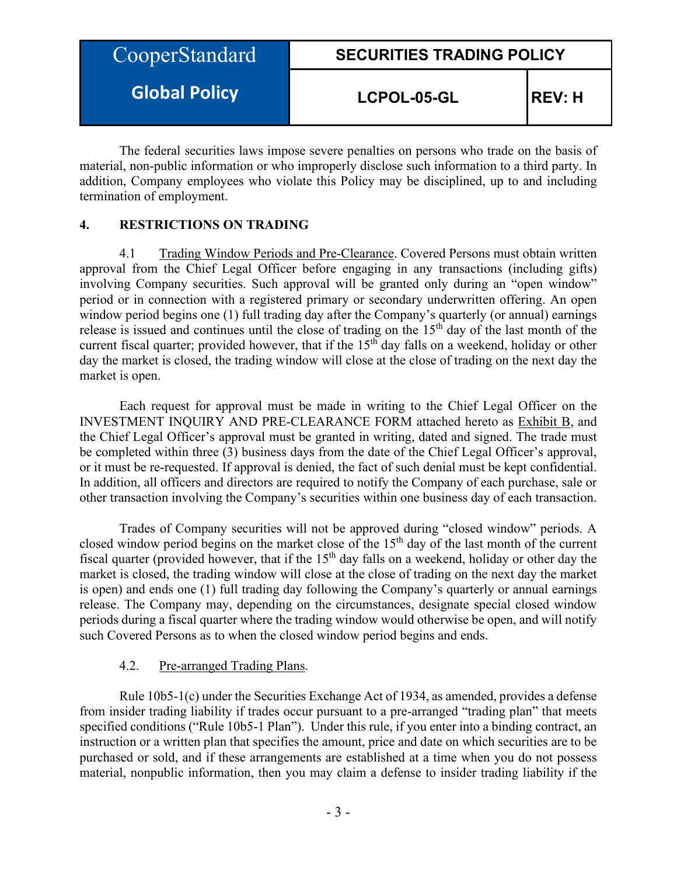| CooperStandard       | <b>SECURITIES TRADING POLICY</b> |                |
|----------------------|----------------------------------|----------------|
| <b>Global Policy</b> | LCPOL-05-GL                      | <b>IREV: H</b> |

The federal securities laws impose severe penalties on persons who trade on the basis of material, non-public information or who improperly disclose such information to a third party. In addition, Company employees who violate this Policy may be disciplined, up to and including termination of employment.

## **4. RESTRICTIONS ON TRADING**

4.1 Trading Window Periods and Pre-Clearance. Covered Persons must obtain written approval from the Chief Legal Officer before engaging in any transactions (including gifts) involving Company securities. Such approval will be granted only during an "open window" period or in connection with a registered primary or secondary underwritten offering. An open window period begins one (1) full trading day after the Company's quarterly (or annual) earnings release is issued and continues until the close of trading on the  $15<sup>th</sup>$  day of the last month of the current fiscal quarter; provided however, that if the  $15<sup>th</sup>$  day falls on a weekend, holiday or other day the market is closed, the trading window will close at the close of trading on the next day the market is open.

Each request for approval must be made in writing to the Chief Legal Officer on the INVESTMENT INQUIRY AND PRE-CLEARANCE FORM attached hereto as Exhibit B, and the Chief Legal Officer's approval must be granted in writing, dated and signed. The trade must be completed within three (3) business days from the date of the Chief Legal Officer's approval, or it must be re-requested. If approval is denied, the fact of such denial must be kept confidential. In addition, all officers and directors are required to notify the Company of each purchase, sale or other transaction involving the Company's securities within one business day of each transaction.

Trades of Company securities will not be approved during "closed window" periods. A closed window period begins on the market close of the 15<sup>th</sup> day of the last month of the current fiscal quarter (provided however, that if the  $15<sup>th</sup>$  day falls on a weekend, holiday or other day the market is closed, the trading window will close at the close of trading on the next day the market is open) and ends one (1) full trading day following the Company's quarterly or annual earnings release. The Company may, depending on the circumstances, designate special closed window periods during a fiscal quarter where the trading window would otherwise be open, and will notify such Covered Persons as to when the closed window period begins and ends.

## 4.2. Pre-arranged Trading Plans.

Rule 10b5-1(c) under the Securities Exchange Act of 1934, as amended, provides a defense from insider trading liability if trades occur pursuant to a pre-arranged "trading plan" that meets specified conditions ("Rule 10b5-1 Plan"). Under this rule, if you enter into a binding contract, an instruction or a written plan that specifies the amount, price and date on which securities are to be purchased or sold, and if these arrangements are established at a time when you do not possess material, nonpublic information, then you may claim a defense to insider trading liability if the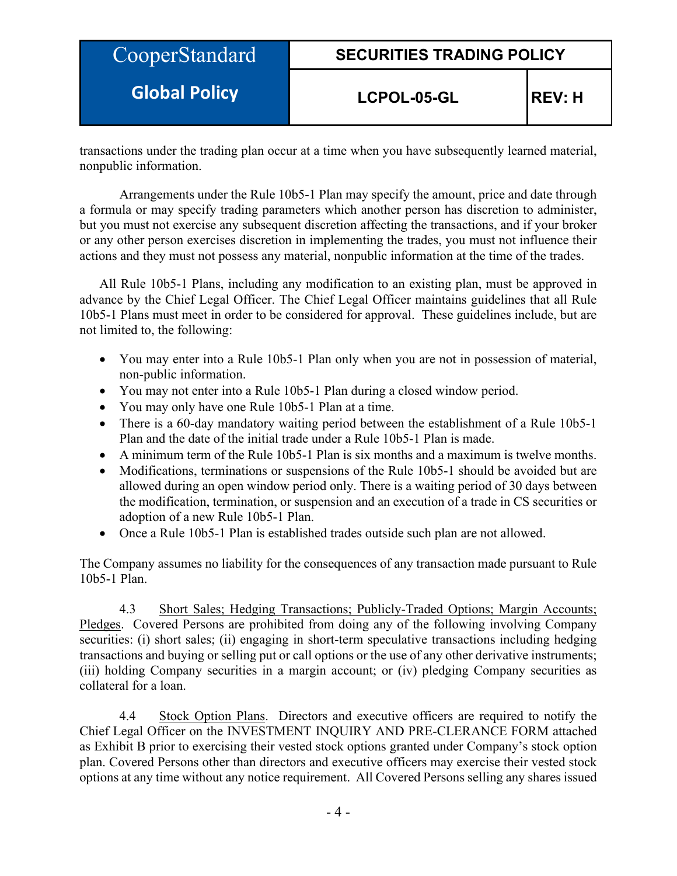| CooperStandard       | <b>SECURITIES TRADING POLICY</b> |                |
|----------------------|----------------------------------|----------------|
| <b>Global Policy</b> | LCPOL-05-GL                      | <b>IREV: H</b> |

transactions under the trading plan occur at a time when you have subsequently learned material, nonpublic information.

Arrangements under the Rule 10b5-1 Plan may specify the amount, price and date through a formula or may specify trading parameters which another person has discretion to administer, but you must not exercise any subsequent discretion affecting the transactions, and if your broker or any other person exercises discretion in implementing the trades, you must not influence their actions and they must not possess any material, nonpublic information at the time of the trades.

All Rule 10b5-1 Plans, including any modification to an existing plan, must be approved in advance by the Chief Legal Officer. The Chief Legal Officer maintains guidelines that all Rule 10b5-1 Plans must meet in order to be considered for approval. These guidelines include, but are not limited to, the following:

- You may enter into a Rule 10b5-1 Plan only when you are not in possession of material, non-public information.
- You may not enter into a Rule 10b5-1 Plan during a closed window period.
- You may only have one Rule 10b5-1 Plan at a time.
- There is a 60-day mandatory waiting period between the establishment of a Rule 10b5-1 Plan and the date of the initial trade under a Rule 10b5-1 Plan is made.
- A minimum term of the Rule 10b5-1 Plan is six months and a maximum is twelve months.
- Modifications, terminations or suspensions of the Rule 10b5-1 should be avoided but are allowed during an open window period only. There is a waiting period of 30 days between the modification, termination, or suspension and an execution of a trade in CS securities or adoption of a new Rule 10b5-1 Plan.
- Once a Rule 10b5-1 Plan is established trades outside such plan are not allowed.

The Company assumes no liability for the consequences of any transaction made pursuant to Rule 10b5-1 Plan.

4.3 Short Sales; Hedging Transactions; Publicly-Traded Options; Margin Accounts; Pledges. Covered Persons are prohibited from doing any of the following involving Company securities: (i) short sales; (ii) engaging in short-term speculative transactions including hedging transactions and buying or selling put or call options or the use of any other derivative instruments; (iii) holding Company securities in a margin account; or (iv) pledging Company securities as collateral for a loan.

4.4 Stock Option Plans. Directors and executive officers are required to notify the Chief Legal Officer on the INVESTMENT INQUIRY AND PRE-CLERANCE FORM attached as Exhibit B prior to exercising their vested stock options granted under Company's stock option plan. Covered Persons other than directors and executive officers may exercise their vested stock options at any time without any notice requirement. All Covered Persons selling any shares issued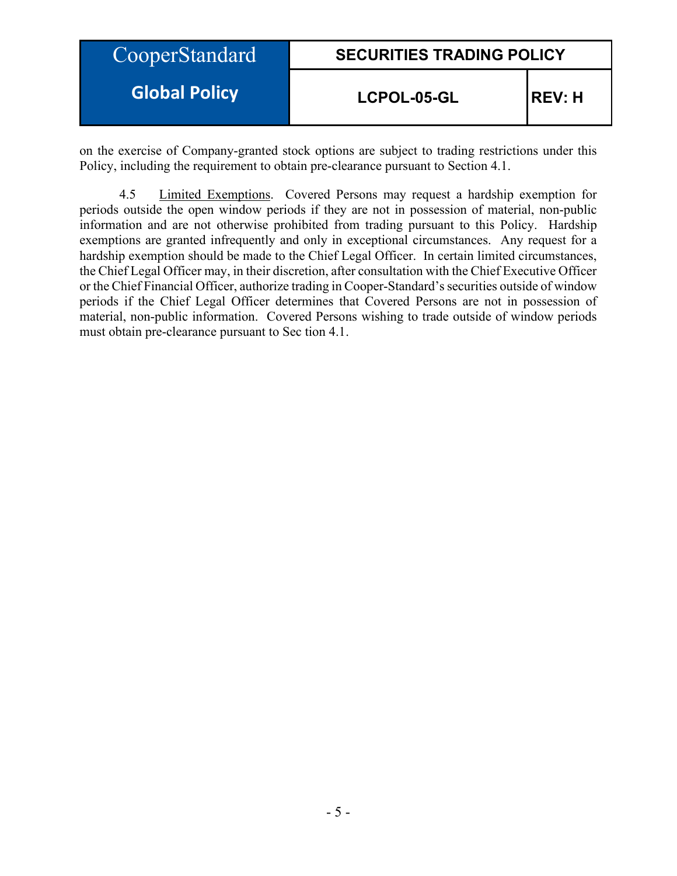| CooperStandard       | <b>SECURITIES TRADING POLICY</b> |                |
|----------------------|----------------------------------|----------------|
| <b>Global Policy</b> | LCPOL-05-GL                      | <b>IREV: H</b> |

on the exercise of Company-granted stock options are subject to trading restrictions under this Policy, including the requirement to obtain pre-clearance pursuant to Section 4.1.

4.5 Limited Exemptions. Covered Persons may request a hardship exemption for periods outside the open window periods if they are not in possession of material, non-public information and are not otherwise prohibited from trading pursuant to this Policy. Hardship exemptions are granted infrequently and only in exceptional circumstances. Any request for a hardship exemption should be made to the Chief Legal Officer. In certain limited circumstances, the Chief Legal Officer may, in their discretion, after consultation with the Chief Executive Officer or the Chief Financial Officer, authorize trading in Cooper-Standard's securities outside of window periods if the Chief Legal Officer determines that Covered Persons are not in possession of material, non-public information. Covered Persons wishing to trade outside of window periods must obtain pre-clearance pursuant to Sec tion 4.1.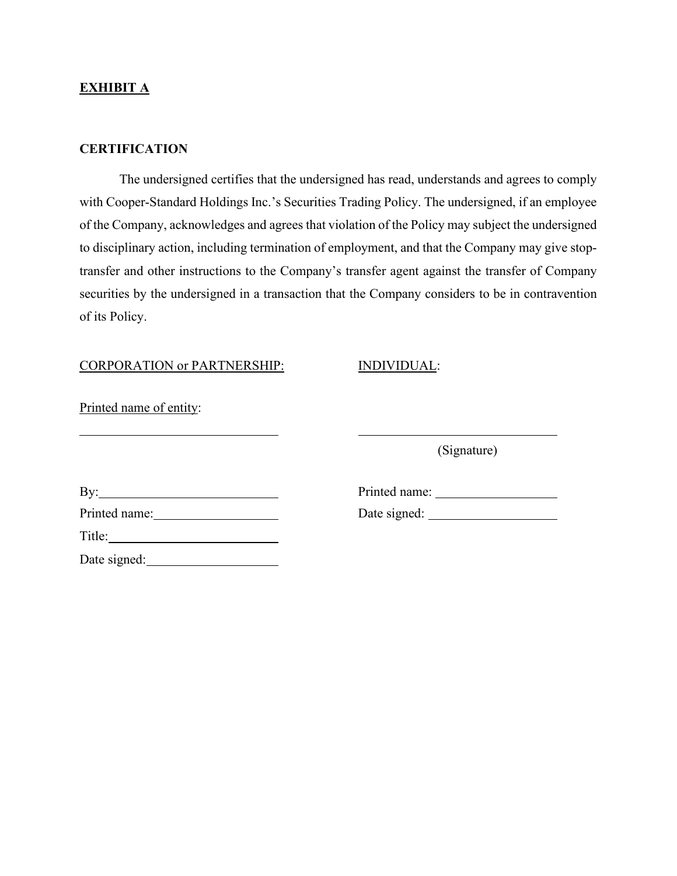## **EXHIBIT A**

#### **CERTIFICATION**

The undersigned certifies that the undersigned has read, understands and agrees to comply with Cooper-Standard Holdings Inc.'s Securities Trading Policy. The undersigned, if an employee of the Company, acknowledges and agrees that violation of the Policy may subject the undersigned to disciplinary action, including termination of employment, and that the Company may give stoptransfer and other instructions to the Company's transfer agent against the transfer of Company securities by the undersigned in a transaction that the Company considers to be in contravention of its Policy.

#### CORPORATION or PARTNERSHIP: INDIVIDUAL:

Printed name of entity:

(Signature)

| By:           |  |
|---------------|--|
| Printed name: |  |
| Title:        |  |

Date signed:

Printed name: University of Printed name: Printed name: Date signed: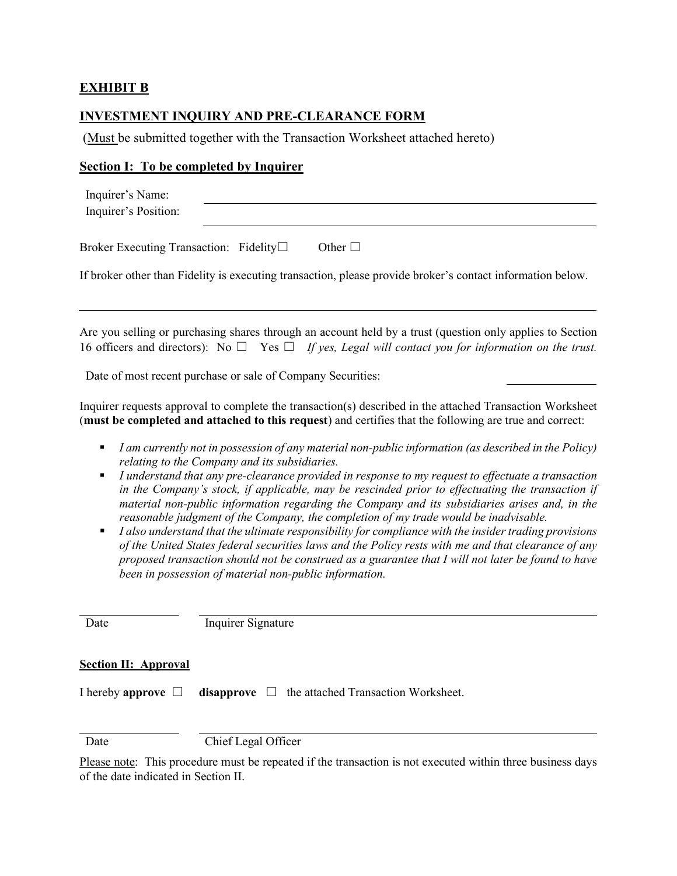# **EXHIBIT B**

## **INVESTMENT INQUIRY AND PRE-CLEARANCE FORM**

(Must be submitted together with the Transaction Worksheet attached hereto)

# **Section I: To be completed by Inquirer**

|             | Inquirer's Name:<br>Inquirer's Position:                                                                                                                                                                                                                                                                                                                                                                                                                                                                                                                                                                                                                                                                                                                                                                                                                                                                                                 |
|-------------|------------------------------------------------------------------------------------------------------------------------------------------------------------------------------------------------------------------------------------------------------------------------------------------------------------------------------------------------------------------------------------------------------------------------------------------------------------------------------------------------------------------------------------------------------------------------------------------------------------------------------------------------------------------------------------------------------------------------------------------------------------------------------------------------------------------------------------------------------------------------------------------------------------------------------------------|
|             | Broker Executing Transaction: Fidelity□<br>Other $\Box$                                                                                                                                                                                                                                                                                                                                                                                                                                                                                                                                                                                                                                                                                                                                                                                                                                                                                  |
|             | If broker other than Fidelity is executing transaction, please provide broker's contact information below.                                                                                                                                                                                                                                                                                                                                                                                                                                                                                                                                                                                                                                                                                                                                                                                                                               |
|             | Are you selling or purchasing shares through an account held by a trust (question only applies to Section<br>16 officers and directors): No $\Box$ Yes $\Box$ If yes, Legal will contact you for information on the trust.                                                                                                                                                                                                                                                                                                                                                                                                                                                                                                                                                                                                                                                                                                               |
|             | Date of most recent purchase or sale of Company Securities:                                                                                                                                                                                                                                                                                                                                                                                                                                                                                                                                                                                                                                                                                                                                                                                                                                                                              |
|             | Inquirer requests approval to complete the transaction(s) described in the attached Transaction Worksheet<br>(must be completed and attached to this request) and certifies that the following are true and correct:                                                                                                                                                                                                                                                                                                                                                                                                                                                                                                                                                                                                                                                                                                                     |
| ٠<br>٠<br>п | I am currently not in possession of any material non-public information (as described in the Policy)<br>relating to the Company and its subsidiaries.<br>I understand that any pre-clearance provided in response to my request to effectuate a transaction<br>in the Company's stock, if applicable, may be rescinded prior to effectuating the transaction if<br>material non-public information regarding the Company and its subsidiaries arises and, in the<br>reasonable judgment of the Company, the completion of my trade would be inadvisable.<br>I also understand that the ultimate responsibility for compliance with the insider trading provisions<br>of the United States federal securities laws and the Policy rests with me and that clearance of any<br>proposed transaction should not be construed as a guarantee that I will not later be found to have<br>been in possession of material non-public information. |
| Date        | Inquirer Signature                                                                                                                                                                                                                                                                                                                                                                                                                                                                                                                                                                                                                                                                                                                                                                                                                                                                                                                       |
|             | <b>Section II: Approval</b>                                                                                                                                                                                                                                                                                                                                                                                                                                                                                                                                                                                                                                                                                                                                                                                                                                                                                                              |

I hereby **approve** ☐ **disapprove** ☐ the attached Transaction Worksheet.

Date Chief Legal Officer

Please note: This procedure must be repeated if the transaction is not executed within three business days of the date indicated in Section II.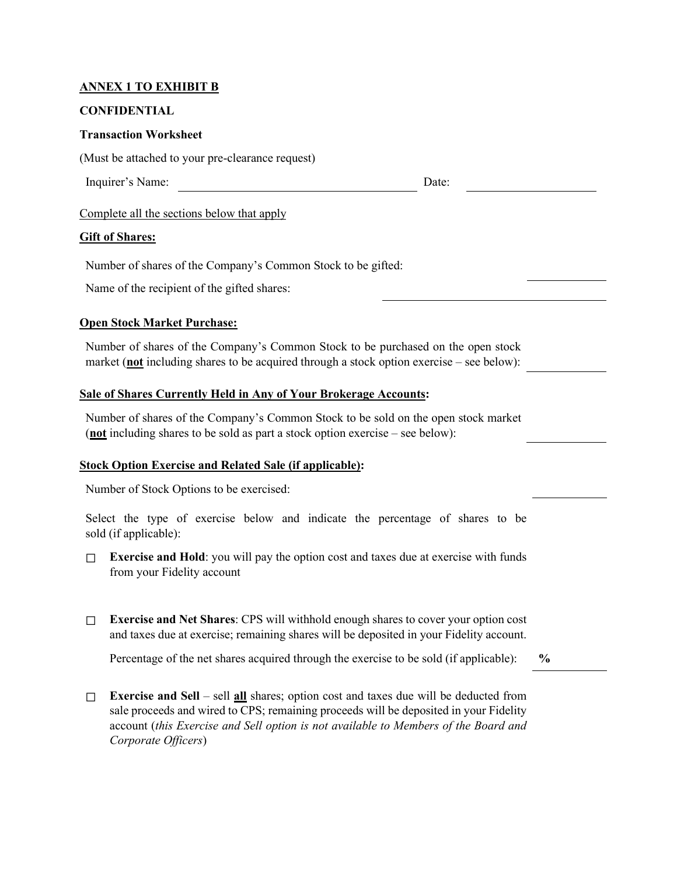## **ANNEX 1 TO EXHIBIT B**

#### **CONFIDENTIAL**

#### **Transaction Worksheet**

(Must be attached to your pre-clearance request)

Inquirer's Name: Date:

Complete all the sections below that apply

#### **Gift of Shares:**

Number of shares of the Company's Common Stock to be gifted:

Name of the recipient of the gifted shares:

## **Open Stock Market Purchase:**

Number of shares of the Company's Common Stock to be purchased on the open stock market (**not** including shares to be acquired through a stock option exercise – see below):

#### **Sale of Shares Currently Held in Any of Your Brokerage Accounts:**

Number of shares of the Company's Common Stock to be sold on the open stock market (**not** including shares to be sold as part a stock option exercise – see below):

## **Stock Option Exercise and Related Sale (if applicable):**

Number of Stock Options to be exercised:

Select the type of exercise below and indicate the percentage of shares to be sold (if applicable):

- $\Box$  **Exercise and Hold**: you will pay the option cost and taxes due at exercise with funds from your Fidelity account
- ☐ **Exercise and Net Shares**: CPS will withhold enough shares to cover your option cost and taxes due at exercise; remaining shares will be deposited in your Fidelity account.

Percentage of the net shares acquired through the exercise to be sold (if applicable): **%**

☐ **Exercise and Sell** – sell **all** shares; option cost and taxes due will be deducted from sale proceeds and wired to CPS; remaining proceeds will be deposited in your Fidelity account (*this Exercise and Sell option is not available to Members of the Board and Corporate Officers*)